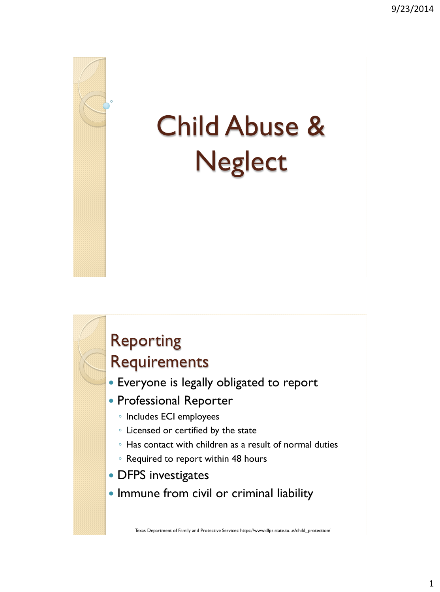

# Child Abuse & **Neglect**



## Reporting

#### Requirements

- Everyone is legally obligated to report
- Professional Reporter
	- Includes ECI employees
	- Licensed or certified by the state
	- Has contact with children as a result of normal duties
	- Required to report within 48 hours
- DFPS investigates
- Immune from civil or criminal liability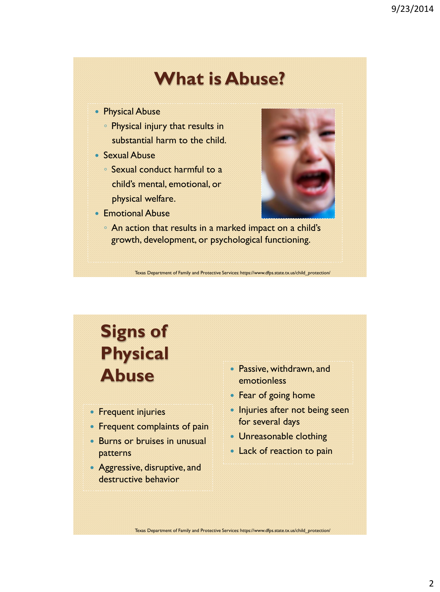#### **What is Abuse?**

- Physical Abuse
	- Physical injury that results in substantial harm to the child.
- Sexual Abuse
	- Sexual conduct harmful to a child's mental, emotional, or physical welfare.
- Emotional Abuse



◦ An action that results in a marked impact on a child's growth, development, or psychological functioning.

Texas Department of Family and Protective Services: https://www.dfps.state.tx.us/child\_protection/

### **Signs of Physical Abuse**

- Frequent injuries
- Frequent complaints of pain
- Burns or bruises in unusual patterns
- Aggressive, disruptive, and destructive behavior
- Passive, withdrawn, and emotionless
- Fear of going home
- Injuries after not being seen for several days
- Unreasonable clothing
- Lack of reaction to pain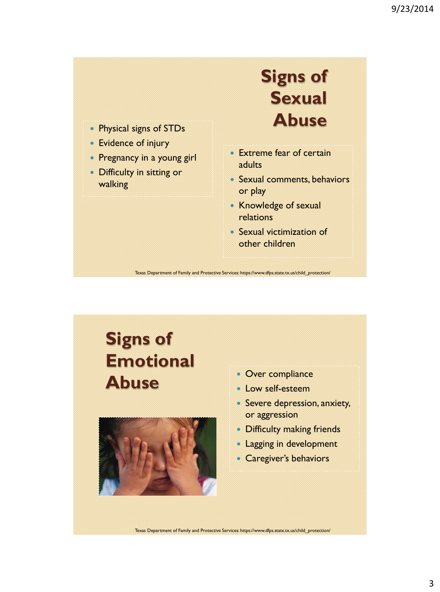- 
- Evidence of injury
- Pregnancy in a young girl
- Difficulty in sitting or walking

**Signs of Sexual Abuse** Physical signs of STDs

- Extreme fear of certain **adults**
- Sexual comments, behaviors or play
- Knowledge of sexual relations
- Sexual victimization of other children

Texas Department of Family and Protective Services: https://www.dfps.state.tx.us/child\_protection/

### **Signs of Emotional**  Abuse • Over compliance



- Low self-esteem
- Severe depression, anxiety, or aggression
- Difficulty making friends
- Lagging in development
- Caregiver's behaviors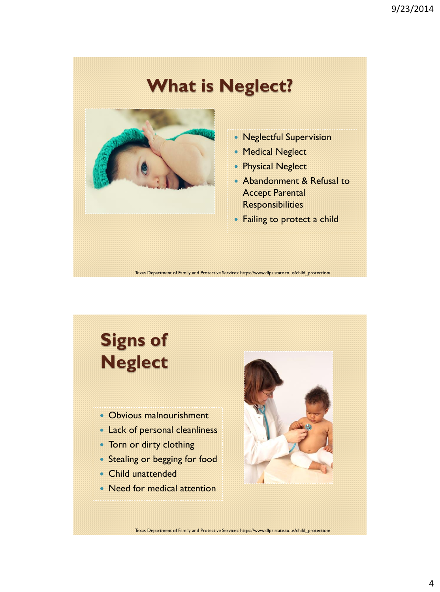#### **What is Neglect?**



- Neglectful Supervision
- Medical Neglect
- Physical Neglect
- Abandonment & Refusal to Accept Parental **Responsibilities**
- Failing to protect a child

Texas Department of Family and Protective Services: https://www.dfps.state.tx.us/child\_protection/

### **Signs of Neglect**

- Obvious malnourishment
- Lack of personal cleanliness
- Torn or dirty clothing
- Stealing or begging for food
- Child unattended
- Need for medical attention

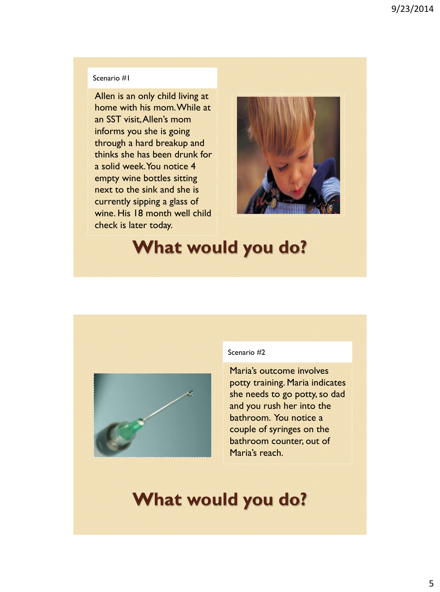#### Scenario #1

Allen is an only child living at home with his mom. While at an SST visit, Allen's mom informs you she is going through a hard breakup and thinks she has been drunk for a solid week. You notice 4 empty wine bottles sitting next to the sink and she is currently sipping a glass of wine. His 18 month well child check is later today.



#### **What would you do?**



#### Scenario #2

Maria's outcome involves potty training. Maria indicates she needs to go potty, so dad and you rush her into the bathroom. You notice a couple of syringes on the bathroom counter, out of Maria's reach.

#### **What would you do?**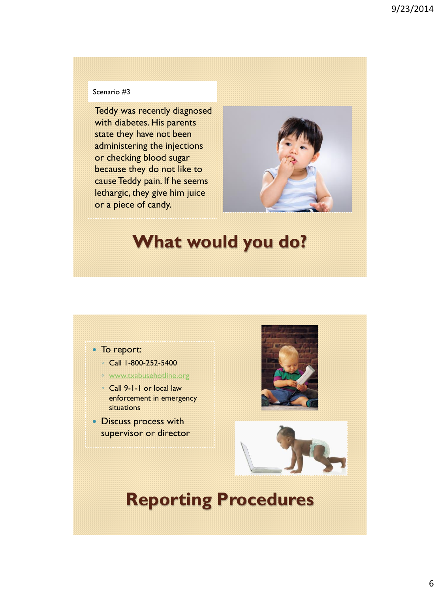#### Scenario #3

Teddy was recently diagnosed with diabetes. His parents state they have not been administering the injections or checking blood sugar because they do not like to cause Teddy pain. If he seems lethargic, they give him juice or a piece of candy.



#### **What would you do?**